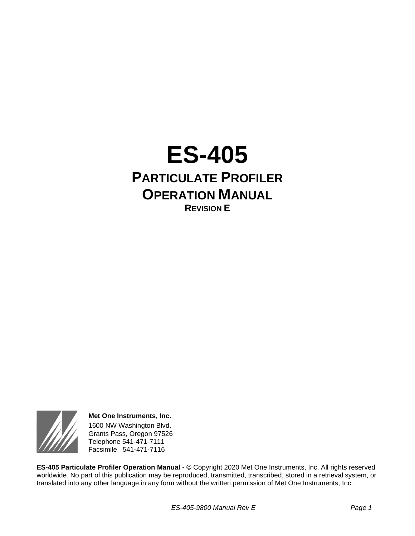



**Met One Instruments, Inc.** 1600 NW Washington Blvd. Grants Pass, Oregon 97526 Telephone 541-471-7111 Facsimile 541-471-7116

**ES-405 Particulate Profiler Operation Manual - ©** Copyright 2020 Met One Instruments, Inc. All rights reserved worldwide. No part of this publication may be reproduced, transmitted, transcribed, stored in a retrieval system, or translated into any other language in any form without the written permission of Met One Instruments, Inc.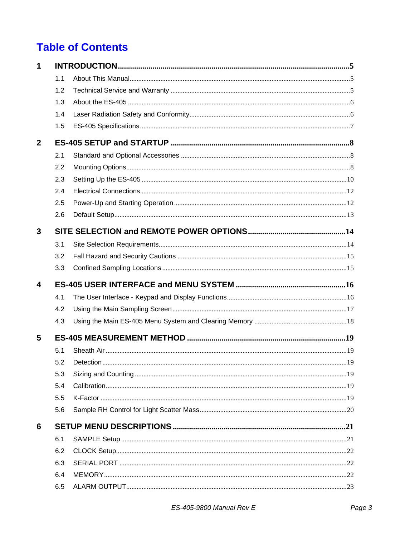# **Table of Contents**

| 1            |     |  |  |  |  |
|--------------|-----|--|--|--|--|
|              | 1.1 |  |  |  |  |
|              | 1.2 |  |  |  |  |
|              | 1.3 |  |  |  |  |
|              | 1.4 |  |  |  |  |
|              | 1.5 |  |  |  |  |
| $\mathbf{2}$ |     |  |  |  |  |
|              | 2.1 |  |  |  |  |
|              | 2.2 |  |  |  |  |
|              | 2.3 |  |  |  |  |
|              | 2.4 |  |  |  |  |
|              | 2.5 |  |  |  |  |
|              | 2.6 |  |  |  |  |
| 3            |     |  |  |  |  |
|              | 3.1 |  |  |  |  |
|              | 3.2 |  |  |  |  |
|              | 3.3 |  |  |  |  |
| 4            |     |  |  |  |  |
|              | 4.1 |  |  |  |  |
|              | 4.2 |  |  |  |  |
|              | 4.3 |  |  |  |  |
| 5            |     |  |  |  |  |
|              | 5.1 |  |  |  |  |
|              | 5.2 |  |  |  |  |
|              | 5.3 |  |  |  |  |
|              | 5.4 |  |  |  |  |
|              | 5.5 |  |  |  |  |
|              | 5.6 |  |  |  |  |
| 6            |     |  |  |  |  |
|              | 6.1 |  |  |  |  |
|              | 6.2 |  |  |  |  |
|              | 6.3 |  |  |  |  |
|              | 6.4 |  |  |  |  |
|              | 6.5 |  |  |  |  |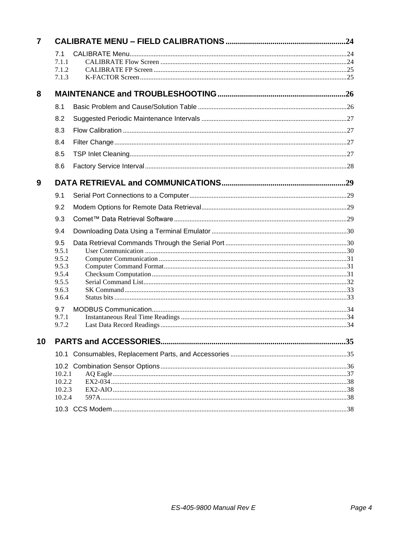| 7 |                  |  |
|---|------------------|--|
|   | 7.1<br>7.1.1     |  |
|   | 7.1.2            |  |
|   | 7.1.3            |  |
| 8 |                  |  |
|   | 8.1              |  |
|   | 8.2              |  |
|   | 8.3              |  |
|   | 8.4              |  |
|   | 8.5              |  |
|   | 8.6              |  |
| 9 |                  |  |
|   | 9.1              |  |
|   | 9.2              |  |
|   | 9.3              |  |
|   | 9.4              |  |
|   | 9.5              |  |
|   | 9.5.1<br>9.5.2   |  |
|   | 9.5.3            |  |
|   | 9.5.4            |  |
|   | 9.5.5            |  |
|   | 9.6.3<br>9.6.4   |  |
|   | 9.7              |  |
|   | 9.7.1            |  |
|   | 9.7.2            |  |
|   |                  |  |
|   |                  |  |
|   |                  |  |
|   | 10.2.1<br>10.2.2 |  |
|   | 10.2.3           |  |
|   | 10.2.4           |  |
|   |                  |  |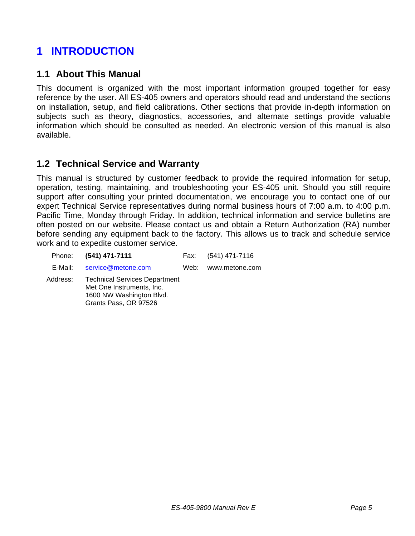# <span id="page-4-0"></span>**1 INTRODUCTION**

## <span id="page-4-1"></span>**1.1 About This Manual**

This document is organized with the most important information grouped together for easy reference by the user. All ES-405 owners and operators should read and understand the sections on installation, setup, and field calibrations. Other sections that provide in-depth information on subjects such as theory, diagnostics, accessories, and alternate settings provide valuable information which should be consulted as needed. An electronic version of this manual is also available.

## <span id="page-4-2"></span>**1.2 Technical Service and Warranty**

This manual is structured by customer feedback to provide the required information for setup, operation, testing, maintaining, and troubleshooting your ES-405 unit. Should you still require support after consulting your printed documentation, we encourage you to contact one of our expert Technical Service representatives during normal business hours of 7:00 a.m. to 4:00 p.m. Pacific Time, Monday through Friday. In addition, technical information and service bulletins are often posted on our website. Please contact us and obtain a Return Authorization (RA) number before sending any equipment back to the factory. This allows us to track and schedule service work and to expedite customer service.

| Phone:                                                                                                                             | (541) 471-7111     | Fax: | $(541)$ 471-7116 |
|------------------------------------------------------------------------------------------------------------------------------------|--------------------|------|------------------|
| E-Mail:                                                                                                                            | service@metone.com | Web: | www.metone.com   |
| <b>Technical Services Department</b><br>Address:<br>Met One Instruments, Inc.<br>1600 NW Washington Blvd.<br>Grants Pass, OR 97526 |                    |      |                  |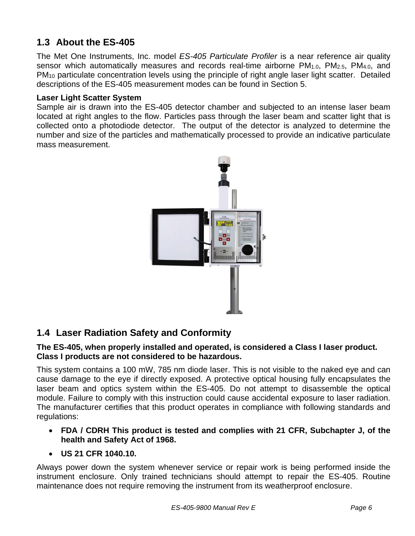# <span id="page-5-0"></span>**1.3 About the ES-405**

The Met One Instruments, Inc. model *ES-405 Particulate Profiler* is a near reference air quality sensor which automatically measures and records real-time airborne PM<sub>1.0</sub>, PM<sub>2.5</sub>, PM<sub>4.0</sub>, and PM<sup>10</sup> particulate concentration levels using the principle of right angle laser light scatter. Detailed descriptions of the ES-405 measurement modes can be found in Section 5.

#### **Laser Light Scatter System**

Sample air is drawn into the ES-405 detector chamber and subjected to an intense laser beam located at right angles to the flow. Particles pass through the laser beam and scatter light that is collected onto a photodiode detector. The output of the detector is analyzed to determine the number and size of the particles and mathematically processed to provide an indicative particulate mass measurement.



# <span id="page-5-1"></span>**1.4 Laser Radiation Safety and Conformity**

#### **The ES-405, when properly installed and operated, is considered a Class I laser product. Class I products are not considered to be hazardous.**

This system contains a 100 mW, 785 nm diode laser. This is not visible to the naked eye and can cause damage to the eye if directly exposed. A protective optical housing fully encapsulates the laser beam and optics system within the ES-405. Do not attempt to disassemble the optical module. Failure to comply with this instruction could cause accidental exposure to laser radiation. The manufacturer certifies that this product operates in compliance with following standards and regulations:

• **FDA / CDRH This product is tested and complies with 21 CFR, Subchapter J, of the health and Safety Act of 1968.**

#### • **US 21 CFR 1040.10.**

Always power down the system whenever service or repair work is being performed inside the instrument enclosure. Only trained technicians should attempt to repair the ES-405. Routine maintenance does not require removing the instrument from its weatherproof enclosure.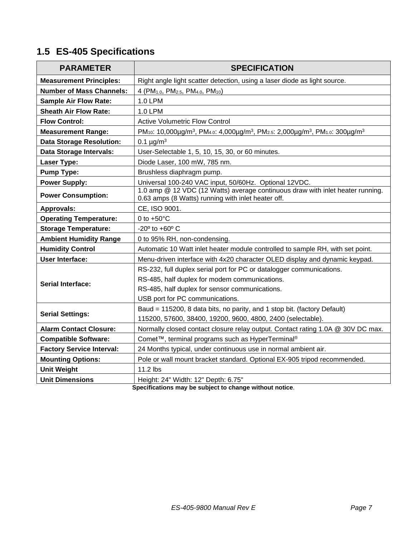# <span id="page-6-0"></span>**1.5 ES-405 Specifications**

| <b>PARAMETER</b>                 | <b>SPECIFICATION</b>                                                                                                                                                            |  |  |  |
|----------------------------------|---------------------------------------------------------------------------------------------------------------------------------------------------------------------------------|--|--|--|
| <b>Measurement Principles:</b>   | Right angle light scatter detection, using a laser diode as light source.                                                                                                       |  |  |  |
| <b>Number of Mass Channels:</b>  | 4 (PM <sub>1.0</sub> , PM <sub>2.5</sub> , PM <sub>4.0</sub> , PM <sub>10</sub> )                                                                                               |  |  |  |
| <b>Sample Air Flow Rate:</b>     | 1.0 LPM                                                                                                                                                                         |  |  |  |
| <b>Sheath Air Flow Rate:</b>     | 1.0 LPM                                                                                                                                                                         |  |  |  |
| <b>Flow Control:</b>             | <b>Active Volumetric Flow Control</b>                                                                                                                                           |  |  |  |
| <b>Measurement Range:</b>        | PM <sub>10</sub> : 10,000µg/m <sup>3</sup> , PM <sub>4.0</sub> : 4,000µg/m <sup>3</sup> , PM <sub>2.5</sub> : 2,000µg/m <sup>3</sup> , PM <sub>1.0</sub> : 300µg/m <sup>3</sup> |  |  |  |
| <b>Data Storage Resolution:</b>  | 0.1 $\mu$ g/m <sup>3</sup>                                                                                                                                                      |  |  |  |
| Data Storage Intervals:          | User-Selectable 1, 5, 10, 15, 30, or 60 minutes.                                                                                                                                |  |  |  |
| Laser Type:                      | Diode Laser, 100 mW, 785 nm.                                                                                                                                                    |  |  |  |
| <b>Pump Type:</b>                | Brushless diaphragm pump.                                                                                                                                                       |  |  |  |
| <b>Power Supply:</b>             | Universal 100-240 VAC input, 50/60Hz. Optional 12VDC.                                                                                                                           |  |  |  |
| <b>Power Consumption:</b>        | 1.0 amp @ 12 VDC (12 Watts) average continuous draw with inlet heater running.<br>0.63 amps (8 Watts) running with inlet heater off.                                            |  |  |  |
| <b>Approvals:</b>                | CE, ISO 9001.                                                                                                                                                                   |  |  |  |
| <b>Operating Temperature:</b>    | 0 to $+50^{\circ}$ C                                                                                                                                                            |  |  |  |
| <b>Storage Temperature:</b>      | $-20^{\circ}$ to $+60^{\circ}$ C                                                                                                                                                |  |  |  |
| <b>Ambient Humidity Range</b>    | 0 to 95% RH, non-condensing.                                                                                                                                                    |  |  |  |
| <b>Humidity Control</b>          | Automatic 10 Watt inlet heater module controlled to sample RH, with set point.                                                                                                  |  |  |  |
| <b>User Interface:</b>           | Menu-driven interface with 4x20 character OLED display and dynamic keypad.                                                                                                      |  |  |  |
|                                  | RS-232, full duplex serial port for PC or datalogger communications.                                                                                                            |  |  |  |
| <b>Serial Interface:</b>         | RS-485, half duplex for modem communications.                                                                                                                                   |  |  |  |
|                                  | RS-485, half duplex for sensor communications.                                                                                                                                  |  |  |  |
|                                  | USB port for PC communications.                                                                                                                                                 |  |  |  |
| <b>Serial Settings:</b>          | Baud = 115200, 8 data bits, no parity, and 1 stop bit. (factory Default)                                                                                                        |  |  |  |
|                                  | 115200, 57600, 38400, 19200, 9600, 4800, 2400 (selectable).                                                                                                                     |  |  |  |
| <b>Alarm Contact Closure:</b>    | Normally closed contact closure relay output. Contact rating 1.0A @ 30V DC max.                                                                                                 |  |  |  |
| <b>Compatible Software:</b>      | Comet™, terminal programs such as HyperTerminal®                                                                                                                                |  |  |  |
| <b>Factory Service Interval:</b> | 24 Months typical, under continuous use in normal ambient air.                                                                                                                  |  |  |  |
| <b>Mounting Options:</b>         | Pole or wall mount bracket standard. Optional EX-905 tripod recommended.                                                                                                        |  |  |  |
| <b>Unit Weight</b>               | 11.2 lbs                                                                                                                                                                        |  |  |  |
| <b>Unit Dimensions</b>           | Height: 24" Width: 12" Depth: 6.75"                                                                                                                                             |  |  |  |

**Specifications may be subject to change without notice**.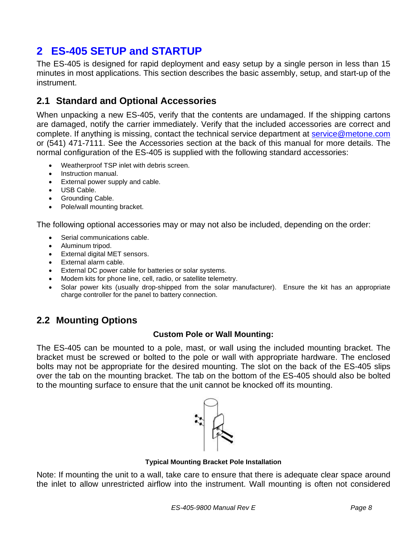# <span id="page-7-0"></span>**2 ES-405 SETUP and STARTUP**

The ES-405 is designed for rapid deployment and easy setup by a single person in less than 15 minutes in most applications. This section describes the basic assembly, setup, and start-up of the instrument.

# <span id="page-7-1"></span>**2.1 Standard and Optional Accessories**

When unpacking a new ES-405, verify that the contents are undamaged. If the shipping cartons are damaged, notify the carrier immediately. Verify that the included accessories are correct and complete. If anything is missing, contact the technical service department at [service@metone.com](mailto:service@metone.com) or (541) 471-7111. See the Accessories section at the back of this manual for more details. The normal configuration of the ES-405 is supplied with the following standard accessories:

- Weatherproof TSP inlet with debris screen.
- Instruction manual.
- External power supply and cable.
- USB Cable.
- Grounding Cable.
- Pole/wall mounting bracket.

The following optional accessories may or may not also be included, depending on the order:

- Serial communications cable.
- Aluminum tripod.
- External digital MET sensors.
- External alarm cable.
- External DC power cable for batteries or solar systems.
- Modem kits for phone line, cell, radio, or satellite telemetry.
- Solar power kits (usually drop-shipped from the solar manufacturer). Ensure the kit has an appropriate charge controller for the panel to battery connection.

### <span id="page-7-2"></span>**2.2 Mounting Options**

#### **Custom Pole or Wall Mounting:**

The ES-405 can be mounted to a pole, mast, or wall using the included mounting bracket. The bracket must be screwed or bolted to the pole or wall with appropriate hardware. The enclosed bolts may not be appropriate for the desired mounting. The slot on the back of the ES-405 slips over the tab on the mounting bracket. The tab on the bottom of the ES-405 should also be bolted to the mounting surface to ensure that the unit cannot be knocked off its mounting.



#### **Typical Mounting Bracket Pole Installation**

Note: If mounting the unit to a wall, take care to ensure that there is adequate clear space around the inlet to allow unrestricted airflow into the instrument. Wall mounting is often not considered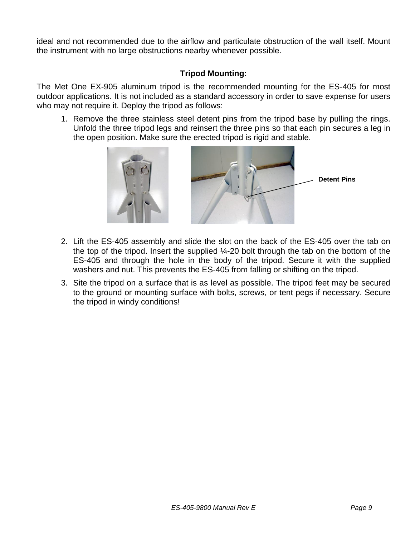ideal and not recommended due to the airflow and particulate obstruction of the wall itself. Mount the instrument with no large obstructions nearby whenever possible.

#### **Tripod Mounting:**

The Met One EX-905 aluminum tripod is the recommended mounting for the ES-405 for most outdoor applications. It is not included as a standard accessory in order to save expense for users who may not require it. Deploy the tripod as follows:

1. Remove the three stainless steel detent pins from the tripod base by pulling the rings. Unfold the three tripod legs and reinsert the three pins so that each pin secures a leg in the open position. Make sure the erected tripod is rigid and stable.



- 2. Lift the ES-405 assembly and slide the slot on the back of the ES-405 over the tab on the top of the tripod. Insert the supplied ¼-20 bolt through the tab on the bottom of the ES-405 and through the hole in the body of the tripod. Secure it with the supplied washers and nut. This prevents the ES-405 from falling or shifting on the tripod.
- <span id="page-8-0"></span>3. Site the tripod on a surface that is as level as possible. The tripod feet may be secured to the ground or mounting surface with bolts, screws, or tent pegs if necessary. Secure the tripod in windy conditions!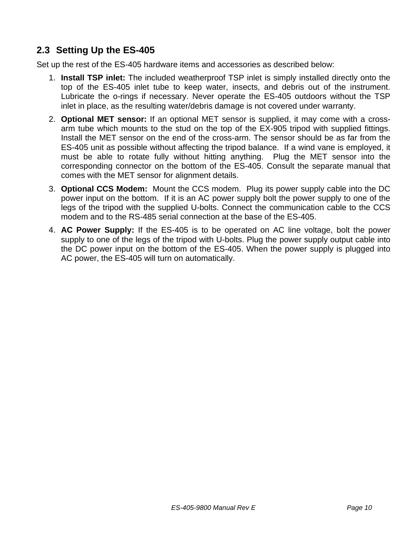# **2.3 Setting Up the ES-405**

Set up the rest of the ES-405 hardware items and accessories as described below:

- 1. **Install TSP inlet:** The included weatherproof TSP inlet is simply installed directly onto the top of the ES-405 inlet tube to keep water, insects, and debris out of the instrument. Lubricate the o-rings if necessary. Never operate the ES-405 outdoors without the TSP inlet in place, as the resulting water/debris damage is not covered under warranty.
- 2. **Optional MET sensor:** If an optional MET sensor is supplied, it may come with a crossarm tube which mounts to the stud on the top of the EX-905 tripod with supplied fittings. Install the MET sensor on the end of the cross-arm. The sensor should be as far from the ES-405 unit as possible without affecting the tripod balance. If a wind vane is employed, it must be able to rotate fully without hitting anything. Plug the MET sensor into the corresponding connector on the bottom of the ES-405. Consult the separate manual that comes with the MET sensor for alignment details.
- 3. **Optional CCS Modem:** Mount the CCS modem. Plug its power supply cable into the DC power input on the bottom. If it is an AC power supply bolt the power supply to one of the legs of the tripod with the supplied U-bolts. Connect the communication cable to the CCS modem and to the RS-485 serial connection at the base of the ES-405.
- 4. **AC Power Supply:** If the ES-405 is to be operated on AC line voltage, bolt the power supply to one of the legs of the tripod with U-bolts. Plug the power supply output cable into the DC power input on the bottom of the ES-405. When the power supply is plugged into AC power, the ES-405 will turn on automatically.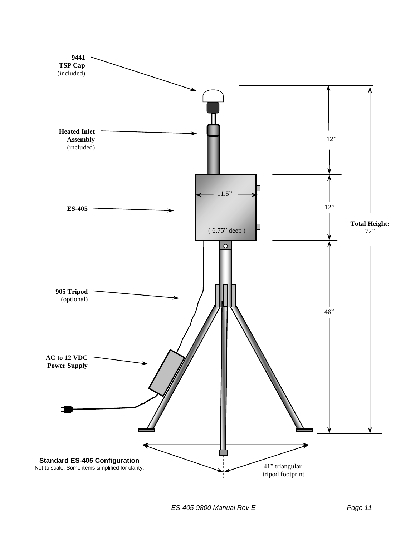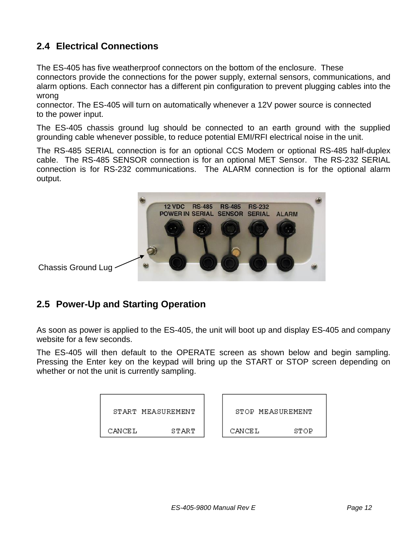# <span id="page-11-0"></span>**2.4 Electrical Connections**

The ES-405 has five weatherproof connectors on the bottom of the enclosure. These connectors provide the connections for the power supply, external sensors, communications, and alarm options. Each connector has a different pin configuration to prevent plugging cables into the wrong

connector. The ES-405 will turn on automatically whenever a 12V power source is connected to the power input.

The ES-405 chassis ground lug should be connected to an earth ground with the supplied grounding cable whenever possible, to reduce potential EMI/RFI electrical noise in the unit.

The RS-485 SERIAL connection is for an optional CCS Modem or optional RS-485 half-duplex cable. The RS-485 SENSOR connection is for an optional MET Sensor. The RS-232 SERIAL connection is for RS-232 communications. The ALARM connection is for the optional alarm output.



## <span id="page-11-1"></span>**2.5 Power-Up and Starting Operation**

As soon as power is applied to the ES-405, the unit will boot up and display ES-405 and company website for a few seconds.

The ES-405 will then default to the OPERATE screen as shown below and begin sampling. Pressing the Enter key on the keypad will bring up the START or STOP screen depending on whether or not the unit is currently sampling.

| START MEASUREMENT |       | STOP MEASUREMENT |      |
|-------------------|-------|------------------|------|
| CANCEL            | START | CANCEL           | STOP |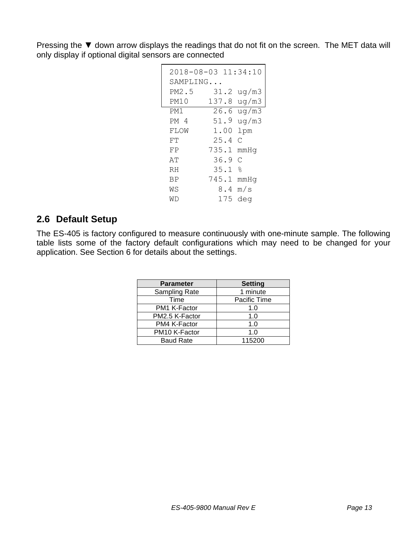Pressing the ▼ down arrow displays the readings that do not fit on the screen. The MET data will only display if optional digital sensors are connected

|           | 2018-08-03 11:34:10    |
|-----------|------------------------|
| SAMPLING. |                        |
| PM2.5     | ug/m3<br>31.2          |
| PM10      | ug/m3<br>137.8         |
| PM1       | $26.6 \text{ ug/m}$ 3  |
| PM 4      | 51.9<br>ug/m3          |
| FLOW      | 1.00<br><b>lpm</b>     |
| FT        | 25.4<br>$\overline{C}$ |
| FP        | 735.1<br>mmHq          |
| AΤ        | 36.9<br>C              |
| RH        | ٥R<br>ن<br>35.1        |
| ΒP        | 745.1<br>mmHq          |
| WS        | 8.4<br>m/s             |
| WD        | deg<br>175             |

## <span id="page-12-0"></span>**2.6 Default Setup**

The ES-405 is factory configured to measure continuously with one-minute sample. The following table lists some of the factory default configurations which may need to be changed for your application. See Section 6 for details about the settings.

| <b>Parameter</b> | <b>Setting</b> |
|------------------|----------------|
| Sampling Rate    | 1 minute       |
| Time             | Pacific Time   |
| PM1 K-Factor     | 1.0            |
| PM2.5 K-Factor   | 1.0            |
| PM4 K-Factor     | 1.0            |
| PM10 K-Factor    | 1.0            |
| <b>Baud Rate</b> | 115200         |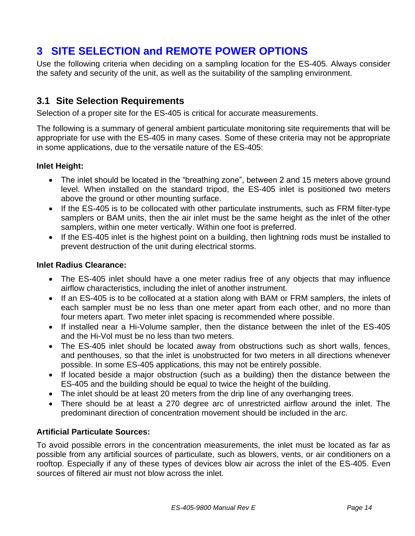# <span id="page-13-0"></span>**3 SITE SELECTION and REMOTE POWER OPTIONS**

Use the following criteria when deciding on a sampling location for the ES-405. Always consider the safety and security of the unit, as well as the suitability of the sampling environment.

## <span id="page-13-1"></span>**3.1 Site Selection Requirements**

Selection of a proper site for the ES-405 is critical for accurate measurements.

The following is a summary of general ambient particulate monitoring site requirements that will be appropriate for use with the ES-405 in many cases. Some of these criteria may not be appropriate in some applications, due to the versatile nature of the ES-405:

#### **Inlet Height:**

- The inlet should be located in the "breathing zone", between 2 and 15 meters above ground level. When installed on the standard tripod, the ES-405 inlet is positioned two meters above the ground or other mounting surface.
- If the ES-405 is to be collocated with other particulate instruments, such as FRM filter-type samplers or BAM units, then the air inlet must be the same height as the inlet of the other samplers, within one meter vertically. Within one foot is preferred.
- If the ES-405 inlet is the highest point on a building, then lightning rods must be installed to prevent destruction of the unit during electrical storms.

#### **Inlet Radius Clearance:**

- The ES-405 inlet should have a one meter radius free of any objects that may influence airflow characteristics, including the inlet of another instrument.
- If an ES-405 is to be collocated at a station along with BAM or FRM samplers, the inlets of each sampler must be no less than one meter apart from each other, and no more than four meters apart. Two meter inlet spacing is recommended where possible.
- If installed near a Hi-Volume sampler, then the distance between the inlet of the ES-405 and the Hi-Vol must be no less than two meters.
- The ES-405 inlet should be located away from obstructions such as short walls, fences, and penthouses, so that the inlet is unobstructed for two meters in all directions whenever possible. In some ES-405 applications, this may not be entirely possible.
- If located beside a major obstruction (such as a building) then the distance between the ES-405 and the building should be equal to twice the height of the building.
- The inlet should be at least 20 meters from the drip line of any overhanging trees.
- There should be at least a 270 degree arc of unrestricted airflow around the inlet. The predominant direction of concentration movement should be included in the arc.

#### **Artificial Particulate Sources:**

To avoid possible errors in the concentration measurements, the inlet must be located as far as possible from any artificial sources of particulate, such as blowers, vents, or air conditioners on a rooftop. Especially if any of these types of devices blow air across the inlet of the ES-405. Even sources of filtered air must not blow across the inlet.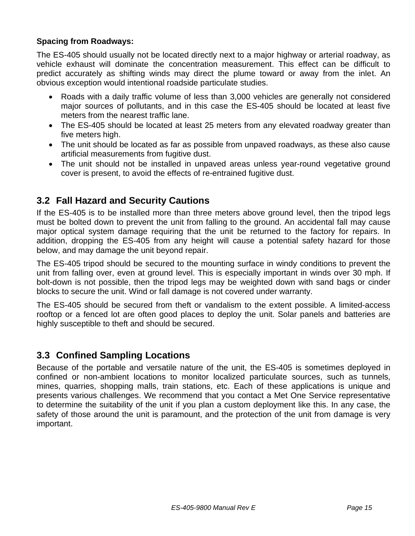### **Spacing from Roadways:**

The ES-405 should usually not be located directly next to a major highway or arterial roadway, as vehicle exhaust will dominate the concentration measurement. This effect can be difficult to predict accurately as shifting winds may direct the plume toward or away from the inlet. An obvious exception would intentional roadside particulate studies.

- Roads with a daily traffic volume of less than 3,000 vehicles are generally not considered major sources of pollutants, and in this case the ES-405 should be located at least five meters from the nearest traffic lane.
- The ES-405 should be located at least 25 meters from any elevated roadway greater than five meters high.
- The unit should be located as far as possible from unpaved roadways, as these also cause artificial measurements from fugitive dust.
- The unit should not be installed in unpaved areas unless year-round vegetative ground cover is present, to avoid the effects of re-entrained fugitive dust.

## <span id="page-14-0"></span>**3.2 Fall Hazard and Security Cautions**

If the ES-405 is to be installed more than three meters above ground level, then the tripod legs must be bolted down to prevent the unit from falling to the ground. An accidental fall may cause major optical system damage requiring that the unit be returned to the factory for repairs. In addition, dropping the ES-405 from any height will cause a potential safety hazard for those below, and may damage the unit beyond repair.

The ES-405 tripod should be secured to the mounting surface in windy conditions to prevent the unit from falling over, even at ground level. This is especially important in winds over 30 mph. If bolt-down is not possible, then the tripod legs may be weighted down with sand bags or cinder blocks to secure the unit. Wind or fall damage is not covered under warranty.

The ES-405 should be secured from theft or vandalism to the extent possible. A limited-access rooftop or a fenced lot are often good places to deploy the unit. Solar panels and batteries are highly susceptible to theft and should be secured.

## <span id="page-14-1"></span>**3.3 Confined Sampling Locations**

Because of the portable and versatile nature of the unit, the ES-405 is sometimes deployed in confined or non-ambient locations to monitor localized particulate sources, such as tunnels, mines, quarries, shopping malls, train stations, etc. Each of these applications is unique and presents various challenges. We recommend that you contact a Met One Service representative to determine the suitability of the unit if you plan a custom deployment like this. In any case, the safety of those around the unit is paramount, and the protection of the unit from damage is very important.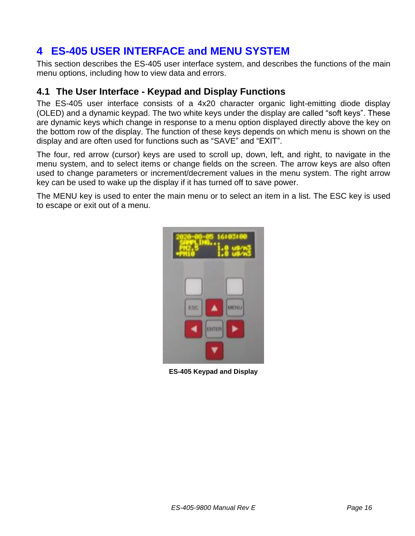# <span id="page-15-0"></span>**4 ES-405 USER INTERFACE and MENU SYSTEM**

This section describes the ES-405 user interface system, and describes the functions of the main menu options, including how to view data and errors.

## <span id="page-15-1"></span>**4.1 The User Interface - Keypad and Display Functions**

The ES-405 user interface consists of a 4x20 character organic light-emitting diode display (OLED) and a dynamic keypad. The two white keys under the display are called "soft keys". These are dynamic keys which change in response to a menu option displayed directly above the key on the bottom row of the display. The function of these keys depends on which menu is shown on the display and are often used for functions such as "SAVE" and "EXIT".

The four, red arrow (cursor) keys are used to scroll up, down, left, and right, to navigate in the menu system, and to select items or change fields on the screen. The arrow keys are also often used to change parameters or increment/decrement values in the menu system. The right arrow key can be used to wake up the display if it has turned off to save power.

The MENU key is used to enter the main menu or to select an item in a list. The ESC key is used to escape or exit out of a menu.



**ES-405 Keypad and Display**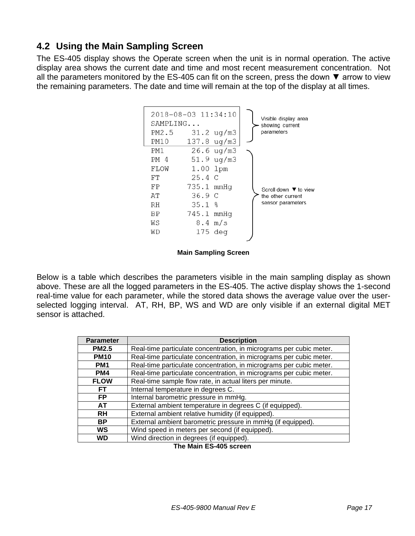## <span id="page-16-0"></span>**4.2 Using the Main Sampling Screen**

The ES-405 display shows the Operate screen when the unit is in normal operation. The active display area shows the current date and time and most recent measurement concentration. Not all the parameters monitored by the ES-405 can fit on the screen, press the down  $\blacktriangledown$  arrow to view the remaining parameters. The date and time will remain at the top of the display at all times.



**Main Sampling Screen**

Below is a table which describes the parameters visible in the main sampling display as shown above. These are all the logged parameters in the ES-405. The active display shows the 1-second real-time value for each parameter, while the stored data shows the average value over the userselected logging interval. AT, RH, BP, WS and WD are only visible if an external digital MET sensor is attached.

| <b>Parameter</b>                                                        | <b>Description</b>                                                  |
|-------------------------------------------------------------------------|---------------------------------------------------------------------|
| <b>PM2.5</b>                                                            | Real-time particulate concentration, in micrograms per cubic meter. |
| <b>PM10</b>                                                             | Real-time particulate concentration, in micrograms per cubic meter. |
| PM <sub>1</sub>                                                         | Real-time particulate concentration, in micrograms per cubic meter. |
| PM4                                                                     | Real-time particulate concentration, in micrograms per cubic meter. |
| Real-time sample flow rate, in actual liters per minute.<br><b>FLOW</b> |                                                                     |
| Internal temperature in degrees C.<br>FТ                                |                                                                     |
| <b>FP</b>                                                               | Internal barometric pressure in mmHg.                               |
| AT                                                                      | External ambient temperature in degrees C (if equipped).            |
| External ambient relative humidity (if equipped).<br><b>RH</b>          |                                                                     |
| <b>BP</b>                                                               | External ambient barometric pressure in mmHg (if equipped).         |
| Wind speed in meters per second (if equipped).<br><b>WS</b>             |                                                                     |
| WD                                                                      | Wind direction in degrees (if equipped).                            |
|                                                                         | The Main CC ADE career                                              |

 **The Main ES-405 screen**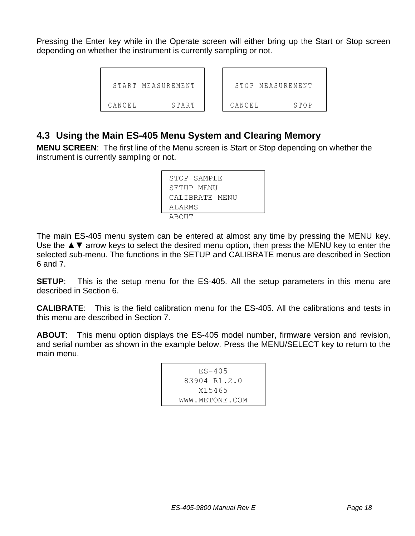Pressing the Enter key while in the Operate screen will either bring up the Start or Stop screen depending on whether the instrument is currently sampling or not.

```
 START MEASUREMENT
CANCEL START
                        STOP MEASUREMENT
                      CANCEL STOP
```
### <span id="page-17-0"></span>**4.3 Using the Main ES-405 Menu System and Clearing Memory**

**MENU SCREEN**: The first line of the Menu screen is Start or Stop depending on whether the instrument is currently sampling or not.

| STOP SAMPLE    |  |
|----------------|--|
| SETUP MENU     |  |
| CALIBRATE MENU |  |
| ALARMS         |  |
| AROUT          |  |

The main ES-405 menu system can be entered at almost any time by pressing the MENU key. Use the  $\triangle \blacktriangledown$  arrow keys to select the desired menu option, then press the MENU key to enter the selected sub-menu. The functions in the SETUP and CALIBRATE menus are described in Section [6](#page-20-0) and [7.](#page-23-0)

**SETUP**: This is the setup menu for the ES-405. All the setup parameters in this menu are described in Section [6.](#page-20-0)

**CALIBRATE**: This is the field calibration menu for the ES-405. All the calibrations and tests in this menu are described in Section [7.](#page-23-0)

**ABOUT**: This menu option displays the ES-405 model number, firmware version and revision, and serial number as shown in the example below. Press the MENU/SELECT key to return to the main menu.

```
 ES-405
  83904 R1.2.0
     X15465
 WWW.METONE.COM
```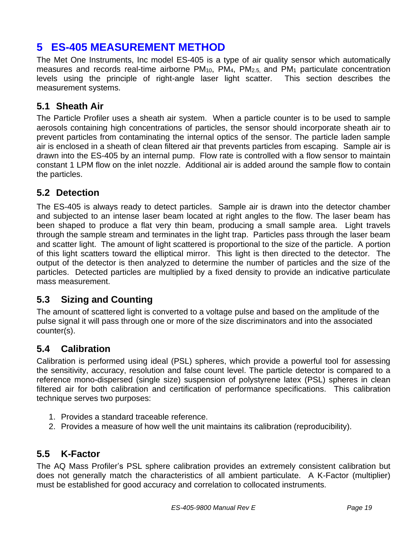# <span id="page-18-0"></span>**5 ES-405 MEASUREMENT METHOD**

The Met One Instruments, Inc model ES-405 is a type of air quality sensor which automatically measures and records real-time airborne PM10, PM4, PM2.5, and PM<sup>1</sup> particulate concentration levels using the principle of right-angle laser light scatter. This section describes the measurement systems.

## <span id="page-18-1"></span>**5.1 Sheath Air**

The Particle Profiler uses a sheath air system. When a particle counter is to be used to sample aerosols containing high concentrations of particles, the sensor should incorporate sheath air to prevent particles from contaminating the internal optics of the sensor. The particle laden sample air is enclosed in a sheath of clean filtered air that prevents particles from escaping. Sample air is drawn into the ES-405 by an internal pump. Flow rate is controlled with a flow sensor to maintain constant 1 LPM flow on the inlet nozzle. Additional air is added around the sample flow to contain the particles.

## <span id="page-18-2"></span>**5.2 Detection**

The ES-405 is always ready to detect particles. Sample air is drawn into the detector chamber and subjected to an intense laser beam located at right angles to the flow. The laser beam has been shaped to produce a flat very thin beam, producing a small sample area. Light travels through the sample stream and terminates in the light trap. Particles pass through the laser beam and scatter light. The amount of light scattered is proportional to the size of the particle. A portion of this light scatters toward the elliptical mirror. This light is then directed to the detector. The output of the detector is then analyzed to determine the number of particles and the size of the particles. Detected particles are multiplied by a fixed density to provide an indicative particulate mass measurement.

## <span id="page-18-3"></span>**5.3 Sizing and Counting**

The amount of scattered light is converted to a voltage pulse and based on the amplitude of the pulse signal it will pass through one or more of the size discriminators and into the associated counter(s).

# <span id="page-18-4"></span>**5.4 Calibration**

Calibration is performed using ideal (PSL) spheres, which provide a powerful tool for assessing the sensitivity, accuracy, resolution and false count level. The particle detector is compared to a reference mono-dispersed (single size) suspension of polystyrene latex (PSL) spheres in clean filtered air for both calibration and certification of performance specifications. This calibration technique serves two purposes:

- 1. Provides a standard traceable reference.
- 2. Provides a measure of how well the unit maintains its calibration (reproducibility).

## <span id="page-18-5"></span>**5.5 K-Factor**

The AQ Mass Profiler's PSL sphere calibration provides an extremely consistent calibration but does not generally match the characteristics of all ambient particulate. A K-Factor (multiplier) must be established for good accuracy and correlation to collocated instruments.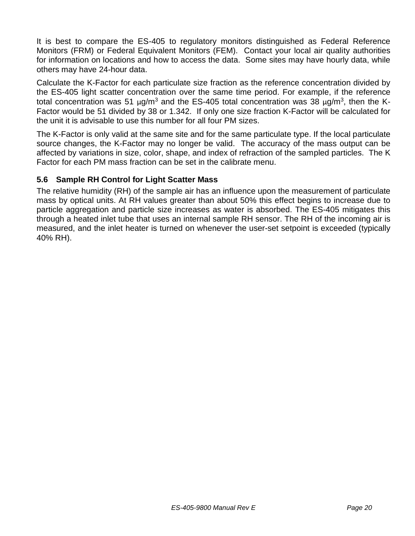It is best to compare the ES-405 to regulatory monitors distinguished as Federal Reference Monitors (FRM) or Federal Equivalent Monitors (FEM). Contact your local air quality authorities for information on locations and how to access the data. Some sites may have hourly data, while others may have 24-hour data.

Calculate the K-Factor for each particulate size fraction as the reference concentration divided by the ES-405 light scatter concentration over the same time period. For example, if the reference total concentration was 51 μg/m<sup>3</sup> and the ES-405 total concentration was 38 μg/m<sup>3</sup>, then the K-Factor would be 51 divided by 38 or 1.342. If only one size fraction K-Factor will be calculated for the unit it is advisable to use this number for all four PM sizes.

The K-Factor is only valid at the same site and for the same particulate type. If the local particulate source changes, the K-Factor may no longer be valid. The accuracy of the mass output can be affected by variations in size, color, shape, and index of refraction of the sampled particles. The K Factor for each PM mass fraction can be set in the calibrate menu.

#### <span id="page-19-0"></span>**5.6 Sample RH Control for Light Scatter Mass**

The relative humidity (RH) of the sample air has an influence upon the measurement of particulate mass by optical units. At RH values greater than about 50% this effect begins to increase due to particle aggregation and particle size increases as water is absorbed. The ES-405 mitigates this through a heated inlet tube that uses an internal sample RH sensor. The RH of the incoming air is measured, and the inlet heater is turned on whenever the user-set setpoint is exceeded (typically 40% RH).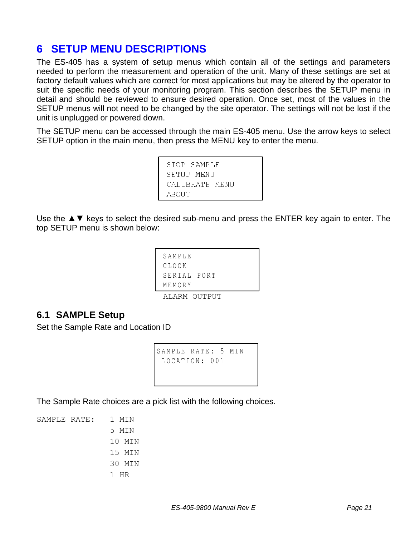# <span id="page-20-0"></span>**6 SETUP MENU DESCRIPTIONS**

The ES-405 has a system of setup menus which contain all of the settings and parameters needed to perform the measurement and operation of the unit. Many of these settings are set at factory default values which are correct for most applications but may be altered by the operator to suit the specific needs of your monitoring program. This section describes the SETUP menu in detail and should be reviewed to ensure desired operation. Once set, most of the values in the SETUP menus will not need to be changed by the site operator. The settings will not be lost if the unit is unplugged or powered down.

The SETUP menu can be accessed through the main ES-405 menu. Use the arrow keys to select SETUP option in the main menu, then press the MENU key to enter the menu.

> STOP SAMPLE SETUP MENU CALIBRATE MENU

Use the  $\triangle \blacktriangledown$  keys to select the desired sub-menu and press the ENTER key again to enter. The top SETUP menu is shown below:

| MEMORY      |
|-------------|
| SERIAL PORT |
| CLOCK       |
| SAMPLE      |
|             |

ALARM OUTPUT

### <span id="page-20-1"></span>**6.1 SAMPLE Setup**

Set the Sample Rate and Location ID

```
SAMPLE RATE: 5 MIN
LOCATION : 001
```
The Sample Rate choices are a pick list with the following choices.

SAMPLE RATE: 1 MIN 5 MIN 10 MIN 15 MIN 30 MIN 1 HR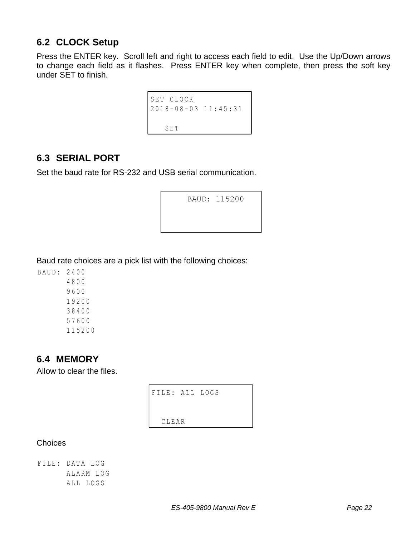# <span id="page-21-0"></span>**6.2 CLOCK Setup**

Press the ENTER key. Scroll left and right to access each field to edit. Use the Up/Down arrows to change each field as it flashes. Press ENTER key when complete, then press the soft key under SET to finish.

```
SET CLOCK
2018 - 0 8 - 03 11 : 4 5 : 3 1
     SET
```
## <span id="page-21-1"></span>**6.3 SERIAL PORT**

Set the baud rate for RS-232 and USB serial communication.

|  | BAUD: 115200 |
|--|--------------|
|  |              |
|  |              |

Baud rate choices are a pick list with the following choices:

## <span id="page-21-2"></span>**6.4 MEMORY**

Allow to clear the files.

FILE: ALL LOGS CLEAR

**Choices** 

FILE : DATA LOG ALARM LOG ALL LOGS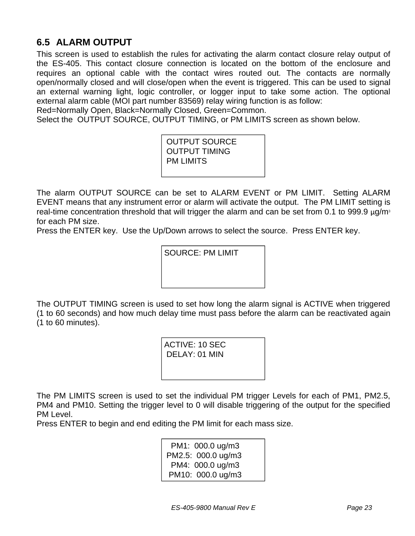# <span id="page-22-0"></span>**6.5 ALARM OUTPUT**

This screen is used to establish the rules for activating the alarm contact closure relay output of the ES-405. This contact closure connection is located on the bottom of the enclosure and requires an optional cable with the contact wires routed out. The contacts are normally open/normally closed and will close/open when the event is triggered. This can be used to signal an external warning light, logic controller, or logger input to take some action. The optional external alarm cable (MOI part number 83569) relay wiring function is as follow:

Red=Normally Open, Black=Normally Closed, Green=Common.

Select the OUTPUT SOURCE, OUTPUT TIMING, or PM LIMITS screen as shown below.

OUTPUT SOURCE OUTPUT TIMING PM LIMITS

The alarm OUTPUT SOURCE can be set to ALARM EVENT or PM LIMIT. Setting ALARM EVENT means that any instrument error or alarm will activate the output. The PM LIMIT setting is real-time concentration threshold that will trigger the alarm and can be set from 0.1 to 999.9  $\mu$ g/m<sup>3</sup> for each PM size.

Press the ENTER key. Use the Up/Down arrows to select the source. Press ENTER key.

SOURCE: PM LIMIT

The OUTPUT TIMING screen is used to set how long the alarm signal is ACTIVE when triggered (1 to 60 seconds) and how much delay time must pass before the alarm can be reactivated again (1 to 60 minutes).

> ACTIVE: 10 SEC DELAY: 01 MIN

The PM LIMITS screen is used to set the individual PM trigger Levels for each of PM1, PM2.5, PM4 and PM10. Setting the trigger level to 0 will disable triggering of the output for the specified PM Level.

Press ENTER to begin and end editing the PM limit for each mass size.

PM1: 000.0 ug/m3 PM2.5: 000.0 ug/m3 PM4: 000.0 ug/m3 PM10: 000.0 ug/m3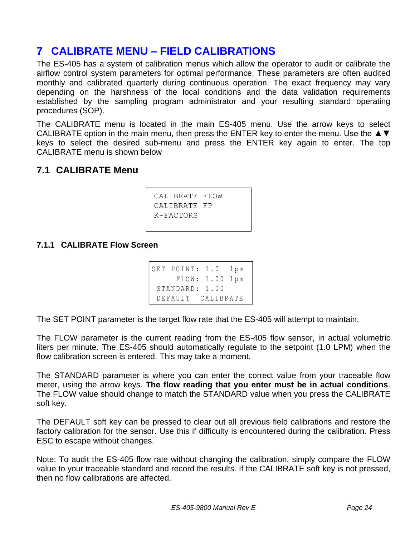# <span id="page-23-0"></span>**7 CALIBRATE MENU – FIELD CALIBRATIONS**

The ES-405 has a system of calibration menus which allow the operator to audit or calibrate the airflow control system parameters for optimal performance. These parameters are often audited monthly and calibrated quarterly during continuous operation. The exact frequency may vary depending on the harshness of the local conditions and the data validation requirements established by the sampling program administrator and your resulting standard operating procedures (SOP).

The CALIBRATE menu is located in the main ES-405 menu. Use the arrow keys to select CALIBRATE option in the main menu, then press the ENTER key to enter the menu. Use the ▲▼ keys to select the desired sub-menu and press the ENTER key again to enter. The top CALIBRATE menu is shown below

## <span id="page-23-1"></span>**7.1 CALIBRATE Menu**

```
CALIBRATE FLOW
CALIBRATE FP
K-FACTORS
```
### <span id="page-23-2"></span>**7.1.1 CALIBRATE Flow Screen**

SET POINT: 1.0 lpm FLOW : 1 . 00 lpm STANDARD: 1.00 DEFAULT CALIBRATE

The SET POINT parameter is the target flow rate that the ES-405 will attempt to maintain.

The FLOW parameter is the current reading from the ES-405 flow sensor, in actual volumetric liters per minute. The ES-405 should automatically regulate to the setpoint (1.0 LPM) when the flow calibration screen is entered. This may take a moment.

The STANDARD parameter is where you can enter the correct value from your traceable flow meter, using the arrow keys. **The flow reading that you enter must be in actual conditions**. The FLOW value should change to match the STANDARD value when you press the CALIBRATE soft key.

The DEFAULT soft key can be pressed to clear out all previous field calibrations and restore the factory calibration for the sensor. Use this if difficulty is encountered during the calibration. Press ESC to escape without changes.

Note: To audit the ES-405 flow rate without changing the calibration, simply compare the FLOW value to your traceable standard and record the results. If the CALIBRATE soft key is not pressed, then no flow calibrations are affected.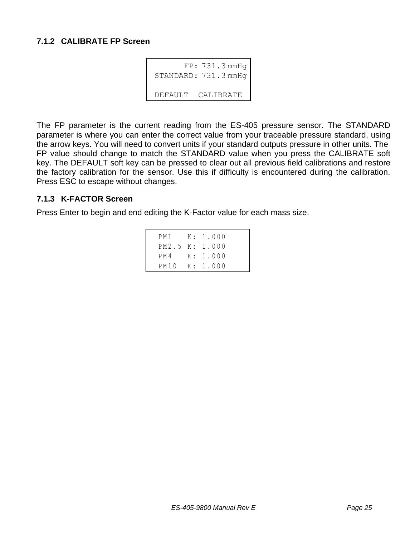#### <span id="page-24-0"></span>**7.1.2 CALIBRATE FP Screen**

```
FP: 731.3 mmHg
STANDARD: 731.3 mmHg
DEFAULT CALIBRATE
```
The FP parameter is the current reading from the ES-405 pressure sensor. The STANDARD parameter is where you can enter the correct value from your traceable pressure standard, using the arrow keys. You will need to convert units if your standard outputs pressure in other units. The FP value should change to match the STANDARD value when you press the CALIBRATE soft key. The DEFAULT soft key can be pressed to clear out all previous field calibrations and restore the factory calibration for the sensor. Use this if difficulty is encountered during the calibration. Press ESC to escape without changes.

#### <span id="page-24-1"></span>**7.1.3 K-FACTOR Screen**

Press Enter to begin and end editing the K-Factor value for each mass size.

|  | PM1 K: 1.000   |
|--|----------------|
|  | PM2.5 K: 1.000 |
|  | PM4 K: 1.000   |
|  | PM10 K: 1.000  |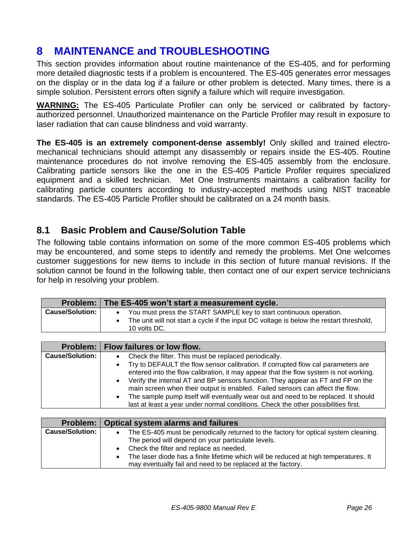# <span id="page-25-0"></span>**8 MAINTENANCE and TROUBLESHOOTING**

This section provides information about routine maintenance of the ES-405, and for performing more detailed diagnostic tests if a problem is encountered. The ES-405 generates error messages on the display or in the data log if a failure or other problem is detected. Many times, there is a simple solution. Persistent errors often signify a failure which will require investigation.

**WARNING:** The ES-405 Particulate Profiler can only be serviced or calibrated by factoryauthorized personnel. Unauthorized maintenance on the Particle Profiler may result in exposure to laser radiation that can cause blindness and void warranty.

**The ES-405 is an extremely component-dense assembly!** Only skilled and trained electromechanical technicians should attempt any disassembly or repairs inside the ES-405. Routine maintenance procedures do not involve removing the ES-405 assembly from the enclosure. Calibrating particle sensors like the one in the ES-405 Particle Profiler requires specialized equipment and a skilled technician. Met One Instruments maintains a calibration facility for calibrating particle counters according to industry-accepted methods using NIST traceable standards. The ES-405 Particle Profiler should be calibrated on a 24 month basis.

### <span id="page-25-1"></span>**8.1 Basic Problem and Cause/Solution Table**

The following table contains information on some of the more common ES-405 problems which may be encountered, and some steps to identify and remedy the problems. Met One welcomes customer suggestions for new items to include in this section of future manual revisions. If the solution cannot be found in the following table, then contact one of our expert service technicians for help in resolving your problem.

|                        | Problem: The ES-405 won't start a measurement cycle.                                                                                                                          |
|------------------------|-------------------------------------------------------------------------------------------------------------------------------------------------------------------------------|
| <b>Cause/Solution:</b> | You must press the START SAMPLE key to start continuous operation.<br>The unit will not start a cycle if the input DC voltage is below the restart threshold,<br>10 volts DC. |

|                        | Problem:   Flow failures or low flow.                                                                                                                                                  |
|------------------------|----------------------------------------------------------------------------------------------------------------------------------------------------------------------------------------|
| <b>Cause/Solution:</b> | Check the filter. This must be replaced periodically.<br>٠                                                                                                                             |
|                        | Try to DEFAULT the flow sensor calibration. If corrupted flow cal parameters are<br>$\bullet$<br>entered into the flow calibration, it may appear that the flow system is not working. |
|                        | Verify the internal AT and BP sensors function. They appear as FT and FP on the<br>$\bullet$<br>main screen when their output is enabled. Failed sensors can affect the flow.          |
|                        | The sample pump itself will eventually wear out and need to be replaced. It should<br>$\bullet$<br>last at least a year under normal conditions. Check the other possibilities first.  |

|                        | Problem:   Optical system alarms and failures                                        |
|------------------------|--------------------------------------------------------------------------------------|
| <b>Cause/Solution:</b> | The ES-405 must be periodically returned to the factory for optical system cleaning. |
|                        | The period will depend on your particulate levels.                                   |
|                        | Check the filter and replace as needed.                                              |
|                        | The laser diode has a finite lifetime which will be reduced at high temperatures. It |
|                        | may eventually fail and need to be replaced at the factory.                          |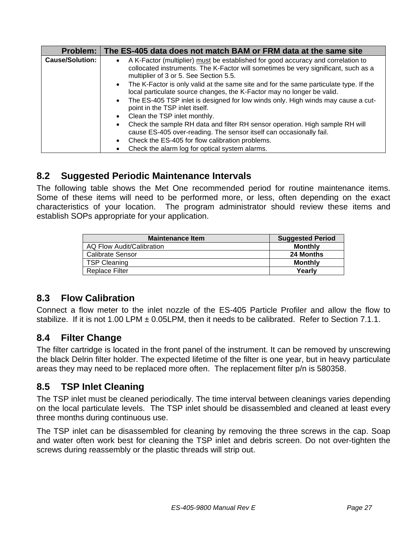| Problem:               | The ES-405 data does not match BAM or FRM data at the same site                                                                                                                                                                                                                                                                    |
|------------------------|------------------------------------------------------------------------------------------------------------------------------------------------------------------------------------------------------------------------------------------------------------------------------------------------------------------------------------|
| <b>Cause/Solution:</b> | A K-Factor (multiplier) must be established for good accuracy and correlation to<br>collocated instruments. The K-Factor will sometimes be very significant, such as a<br>multiplier of 3 or 5. See Section 5.5.                                                                                                                   |
|                        | The K-Factor is only valid at the same site and for the same particulate type. If the<br>local particulate source changes, the K-Factor may no longer be valid.<br>The ES-405 TSP inlet is designed for low winds only. High winds may cause a cut-<br>$\bullet$<br>point in the TSP inlet itself.<br>Clean the TSP inlet monthly. |
|                        | Check the sample RH data and filter RH sensor operation. High sample RH will<br>cause ES-405 over-reading. The sensor itself can occasionally fail.<br>Check the ES-405 for flow calibration problems.<br>Check the alarm log for optical system alarms.                                                                           |

## <span id="page-26-0"></span>**8.2 Suggested Periodic Maintenance Intervals**

The following table shows the Met One recommended period for routine maintenance items. Some of these items will need to be performed more, or less, often depending on the exact characteristics of your location. The program administrator should review these items and establish SOPs appropriate for your application.

| <b>Maintenance Item</b>   | <b>Suggested Period</b> |
|---------------------------|-------------------------|
| AQ Flow Audit/Calibration | <b>Monthly</b>          |
| Calibrate Sensor          | 24 Months               |
| <b>TSP Cleaning</b>       | <b>Monthly</b>          |
| Replace Filter            | Yearlv                  |

## <span id="page-26-1"></span>**8.3 Flow Calibration**

Connect a flow meter to the inlet nozzle of the ES-405 Particle Profiler and allow the flow to stabilize. If it is not 1.00 LPM ± 0.05LPM, then it needs to be calibrated. Refer to Section [7.1.1.](#page-23-2)

## <span id="page-26-2"></span>**8.4 Filter Change**

The filter cartridge is located in the front panel of the instrument. It can be removed by unscrewing the black Delrin filter holder. The expected lifetime of the filter is one year, but in heavy particulate areas they may need to be replaced more often. The replacement filter p/n is 580358.

## <span id="page-26-3"></span>**8.5 TSP Inlet Cleaning**

The TSP inlet must be cleaned periodically. The time interval between cleanings varies depending on the local particulate levels. The TSP inlet should be disassembled and cleaned at least every three months during continuous use.

The TSP inlet can be disassembled for cleaning by removing the three screws in the cap. Soap and water often work best for cleaning the TSP inlet and debris screen. Do not over-tighten the screws during reassembly or the plastic threads will strip out.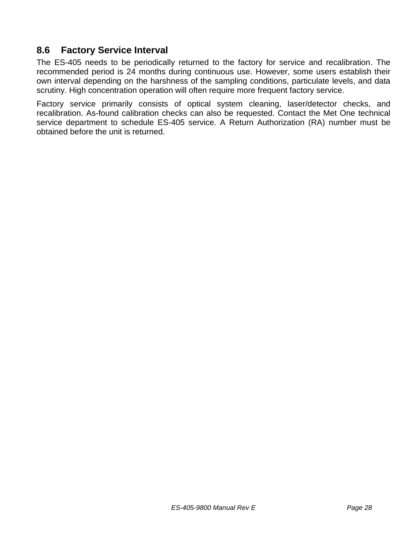## <span id="page-27-0"></span>**8.6 Factory Service Interval**

The ES-405 needs to be periodically returned to the factory for service and recalibration. The recommended period is 24 months during continuous use. However, some users establish their own interval depending on the harshness of the sampling conditions, particulate levels, and data scrutiny. High concentration operation will often require more frequent factory service.

Factory service primarily consists of optical system cleaning, laser/detector checks, and recalibration. As-found calibration checks can also be requested. Contact the Met One technical service department to schedule ES-405 service. A Return Authorization (RA) number must be obtained before the unit is returned.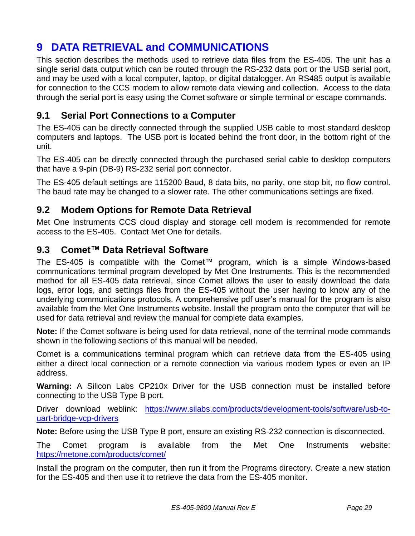# <span id="page-28-0"></span>**9 DATA RETRIEVAL and COMMUNICATIONS**

This section describes the methods used to retrieve data files from the ES-405. The unit has a single serial data output which can be routed through the RS-232 data port or the USB serial port, and may be used with a local computer, laptop, or digital datalogger. An RS485 output is available for connection to the CCS modem to allow remote data viewing and collection. Access to the data through the serial port is easy using the Comet software or simple terminal or escape commands.

## <span id="page-28-1"></span>**9.1 Serial Port Connections to a Computer**

The ES-405 can be directly connected through the supplied USB cable to most standard desktop computers and laptops. The USB port is located behind the front door, in the bottom right of the unit.

The ES-405 can be directly connected through the purchased serial cable to desktop computers that have a 9-pin (DB-9) RS-232 serial port connector.

The ES-405 default settings are 115200 Baud, 8 data bits, no parity, one stop bit, no flow control. The baud rate may be changed to a slower rate. The other communications settings are fixed.

## <span id="page-28-2"></span>**9.2 Modem Options for Remote Data Retrieval**

Met One Instruments CCS cloud display and storage cell modem is recommended for remote access to the ES-405. Contact Met One for details.

## <span id="page-28-3"></span>**9.3 Comet™ Data Retrieval Software**

The ES-405 is compatible with the Comet™ program, which is a simple Windows-based communications terminal program developed by Met One Instruments. This is the recommended method for all ES-405 data retrieval, since Comet allows the user to easily download the data logs, error logs, and settings files from the ES-405 without the user having to know any of the underlying communications protocols. A comprehensive pdf user's manual for the program is also available from the Met One Instruments website. Install the program onto the computer that will be used for data retrieval and review the manual for complete data examples.

**Note:** If the Comet software is being used for data retrieval, none of the terminal mode commands shown in the following sections of this manual will be needed.

Comet is a communications terminal program which can retrieve data from the ES-405 using either a direct local connection or a remote connection via various modem types or even an IP address.

**Warning:** A Silicon Labs CP210x Driver for the USB connection must be installed before connecting to the USB Type B port.

Driver download weblink: [https://www.silabs.com/products/development-tools/software/usb-to](https://www.silabs.com/products/development-tools/software/usb-to-uart-bridge-vcp-drivers)[uart-bridge-vcp-drivers](https://www.silabs.com/products/development-tools/software/usb-to-uart-bridge-vcp-drivers)

**Note:** Before using the USB Type B port, ensure an existing RS-232 connection is disconnected.

The Comet program is available from the Met One Instruments website: <https://metone.com/products/comet/>

Install the program on the computer, then run it from the Programs directory. Create a new station for the ES-405 and then use it to retrieve the data from the ES-405 monitor.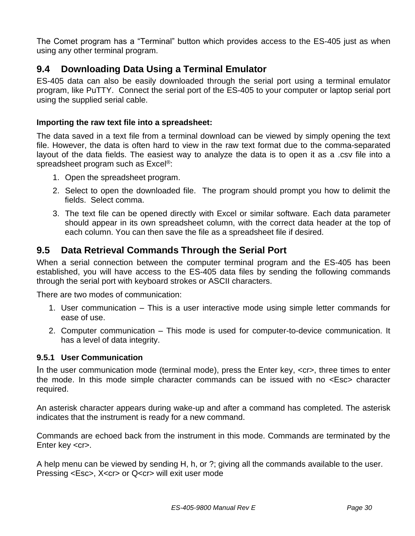The Comet program has a "Terminal" button which provides access to the ES-405 just as when using any other terminal program.

# <span id="page-29-0"></span>**9.4 Downloading Data Using a Terminal Emulator**

ES-405 data can also be easily downloaded through the serial port using a terminal emulator program, like PuTTY. Connect the serial port of the ES-405 to your computer or laptop serial port using the supplied serial cable.

#### **Importing the raw text file into a spreadsheet:**

The data saved in a text file from a terminal download can be viewed by simply opening the text file. However, the data is often hard to view in the raw text format due to the comma-separated layout of the data fields. The easiest way to analyze the data is to open it as a .csv file into a spreadsheet program such as Excel®:

- 1. Open the spreadsheet program.
- 2. Select to open the downloaded file. The program should prompt you how to delimit the fields. Select comma.
- 3. The text file can be opened directly with Excel or similar software. Each data parameter should appear in its own spreadsheet column, with the correct data header at the top of each column. You can then save the file as a spreadsheet file if desired.

## <span id="page-29-1"></span>**9.5 Data Retrieval Commands Through the Serial Port**

When a serial connection between the computer terminal program and the ES-405 has been established, you will have access to the ES-405 data files by sending the following commands through the serial port with keyboard strokes or ASCII characters.

There are two modes of communication:

- 1. User communication This is a user interactive mode using simple letter commands for ease of use.
- 2. Computer communication This mode is used for computer-to-device communication. It has a level of data integrity.

### <span id="page-29-2"></span>**9.5.1 User Communication**

In the user communication mode (terminal mode), press the Enter key,  $\langle cr \rangle$ , three times to enter the mode. In this mode simple character commands can be issued with no <Esc> character required.

An asterisk character appears during wake-up and after a command has completed. The asterisk indicates that the instrument is ready for a new command.

Commands are echoed back from the instrument in this mode. Commands are terminated by the Enter key <cr>.

A help menu can be viewed by sending H, h, or ?; giving all the commands available to the user. Pressing <Esc>, X<cr> or Q<cr> will exit user mode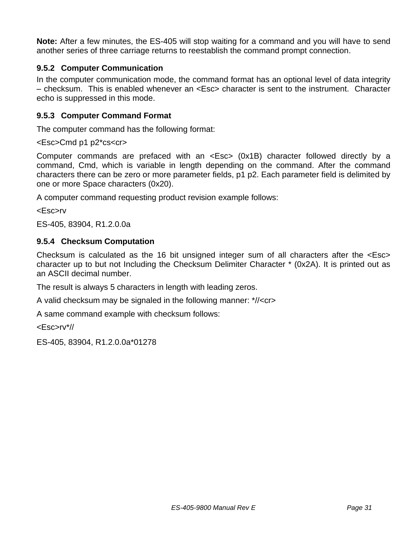**Note:** After a few minutes, the ES-405 will stop waiting for a command and you will have to send another series of three carriage returns to reestablish the command prompt connection.

### <span id="page-30-0"></span>**9.5.2 Computer Communication**

In the computer communication mode, the command format has an optional level of data integrity – checksum. This is enabled whenever an <Esc> character is sent to the instrument. Character echo is suppressed in this mode.

### <span id="page-30-1"></span>**9.5.3 Computer Command Format**

The computer command has the following format:

#### <Esc>Cmd p1 p2\*cs<cr>

Computer commands are prefaced with an <Esc> (0x1B) character followed directly by a command, Cmd, which is variable in length depending on the command. After the command characters there can be zero or more parameter fields, p1 p2. Each parameter field is delimited by one or more Space characters (0x20).

A computer command requesting product revision example follows:

<Esc>rv

<span id="page-30-2"></span>ES-405, 83904, R1.2.0.0a

### **9.5.4 Checksum Computation**

Checksum is calculated as the 16 bit unsigned integer sum of all characters after the <Esc> character up to but not Including the Checksum Delimiter Character \* (0x2A). It is printed out as an ASCII decimal number.

The result is always 5 characters in length with leading zeros.

A valid checksum may be signaled in the following manner: \*//<cr>

A same command example with checksum follows:

<Esc>rv\*//

ES-405, 83904, R1.2.0.0a\*01278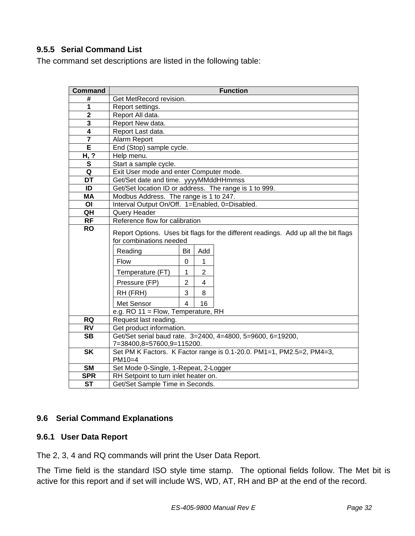### <span id="page-31-0"></span>**9.5.5 Serial Command List**

The command set descriptions are listed in the following table:

| <b>Command</b>           | <b>Function</b>                                                                                                |                |                |  |  |  |
|--------------------------|----------------------------------------------------------------------------------------------------------------|----------------|----------------|--|--|--|
| #                        | Get MetRecord revision.                                                                                        |                |                |  |  |  |
| 1                        | Report settings.                                                                                               |                |                |  |  |  |
| $\overline{2}$           | Report All data.                                                                                               |                |                |  |  |  |
| 3                        | Report New data.                                                                                               |                |                |  |  |  |
| 4                        | Report Last data.                                                                                              |                |                |  |  |  |
| $\overline{7}$           | Alarm Report                                                                                                   |                |                |  |  |  |
| E                        | End (Stop) sample cycle.                                                                                       |                |                |  |  |  |
| H, ?                     | Help menu.                                                                                                     |                |                |  |  |  |
| $\mathbf{s}$             | Start a sample cycle.                                                                                          |                |                |  |  |  |
| Q                        | Exit User mode and enter Computer mode.                                                                        |                |                |  |  |  |
| DT                       | Get/Set date and time. yyyyMMddHHmmss                                                                          |                |                |  |  |  |
| ID                       | Get/Set location ID or address. The range is 1 to 999.                                                         |                |                |  |  |  |
| MA                       | Modbus Address. The range is 1 to 247.                                                                         |                |                |  |  |  |
| OI                       | Interval Output On/Off. 1=Enabled, 0=Disabled.                                                                 |                |                |  |  |  |
| QH                       | Query Header                                                                                                   |                |                |  |  |  |
| <b>RF</b>                | Reference flow for calibration                                                                                 |                |                |  |  |  |
| <b>RO</b>                | Report Options. Uses bit flags for the different readings. Add up all the bit flags<br>for combinations needed |                |                |  |  |  |
|                          | Reading                                                                                                        | Bit            | Add            |  |  |  |
|                          | Flow                                                                                                           | $\overline{0}$ | $\mathbf{1}$   |  |  |  |
|                          | Temperature (FT)                                                                                               | $\mathbf{1}$   | $\overline{2}$ |  |  |  |
|                          | Pressure (FP)                                                                                                  | $\overline{2}$ | $\overline{4}$ |  |  |  |
|                          | RH (FRH)                                                                                                       | 3              | 8              |  |  |  |
|                          | Met Sensor                                                                                                     | $\overline{4}$ | 16             |  |  |  |
|                          | e.g. RO 11 = Flow, Temperature, RH                                                                             |                |                |  |  |  |
| <b>RQ</b>                | Request last reading.                                                                                          |                |                |  |  |  |
| <b>RV</b>                | Get product information.                                                                                       |                |                |  |  |  |
| <b>SB</b>                | Get/Set serial baud rate. 3=2400, 4=4800, 5=9600, 6=19200,                                                     |                |                |  |  |  |
|                          | 7=38400,8=57600,9=115200.                                                                                      |                |                |  |  |  |
| $\overline{\mathsf{SK}}$ | Set PM K Factors. K Factor range is 0.1-20.0. PM1=1, PM2.5=2, PM4=3,<br>$PM10=4$                               |                |                |  |  |  |
| <b>SM</b>                | Set Mode 0-Single, 1-Repeat, 2-Logger                                                                          |                |                |  |  |  |
| <b>SPR</b>               | RH Setpoint to turn inlet heater on.                                                                           |                |                |  |  |  |
| <b>ST</b>                | Get/Set Sample Time in Seconds.                                                                                |                |                |  |  |  |

#### **9.6 Serial Command Explanations**

#### **9.6.1 User Data Report**

The 2, 3, 4 and RQ commands will print the User Data Report.

The Time field is the standard ISO style time stamp. The optional fields follow. The Met bit is active for this report and if set will include WS, WD, AT, RH and BP at the end of the record.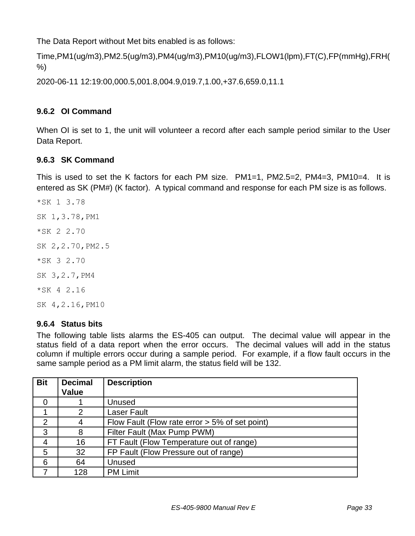The Data Report without Met bits enabled is as follows:

```
Time,PM1(ug/m3),PM2.5(ug/m3),PM4(ug/m3),PM10(ug/m3),FLOW1(lpm),FT(C),FP(mmHg),FRH(
%)
```
2020-06-11 12:19:00,000.5,001.8,004.9,019.7,1.00,+37.6,659.0,11.1

### **9.6.2 OI Command**

When OI is set to 1, the unit will volunteer a record after each sample period similar to the User Data Report.

### <span id="page-32-0"></span>**9.6.3 SK Command**

This is used to set the K factors for each PM size. PM1=1, PM2.5=2, PM4=3, PM10=4. It is entered as SK (PM#) (K factor). A typical command and response for each PM size is as follows.

\*SK 1 3.78 SK 1,3.78,PM1 \*SK 2 2.70 SK 2,2.70,PM2.5 \*SK 3 2.70 SK 3,2.7,PM4 \*SK 4 2.16 SK 4,2.16,PM10

#### <span id="page-32-1"></span>**9.6.4 Status bits**

The following table lists alarms the ES-405 can output. The decimal value will appear in the status field of a data report when the error occurs. The decimal values will add in the status column if multiple errors occur during a sample period. For example, if a flow fault occurs in the same sample period as a PM limit alarm, the status field will be 132.

| <b>Bit</b> | <b>Decimal</b><br><b>Value</b> | <b>Description</b>                                |
|------------|--------------------------------|---------------------------------------------------|
|            |                                | Unused                                            |
|            | 2                              | <b>Laser Fault</b>                                |
| 2          |                                | Flow Fault (Flow rate error $> 5\%$ of set point) |
| 3          | 8                              | Filter Fault (Max Pump PWM)                       |
| 4          | 16                             | FT Fault (Flow Temperature out of range)          |
| 5          | 32                             | FP Fault (Flow Pressure out of range)             |
| 6          | 64                             | Unused                                            |
|            | 128                            | <b>PM Limit</b>                                   |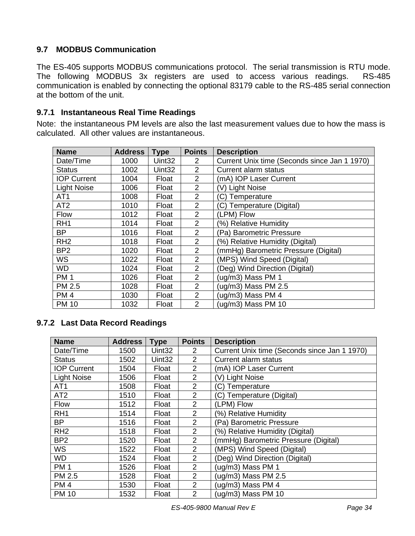### <span id="page-33-0"></span>**9.7 MODBUS Communication**

The ES-405 supports MODBUS communications protocol. The serial transmission is RTU mode. The following MODBUS 3x registers are used to access various readings. RS-485 communication is enabled by connecting the optional 83179 cable to the RS-485 serial connection at the bottom of the unit.

### <span id="page-33-1"></span>**9.7.1 Instantaneous Real Time Readings**

Note: the instantaneous PM levels are also the last measurement values due to how the mass is calculated. All other values are instantaneous.

| <b>Name</b>        | <b>Address</b> | <b>Type</b>        | <b>Points</b>  | <b>Description</b>                           |
|--------------------|----------------|--------------------|----------------|----------------------------------------------|
| Date/Time          | 1000           | Uint <sub>32</sub> | 2              | Current Unix time (Seconds since Jan 1 1970) |
| <b>Status</b>      | 1002           | Uint <sub>32</sub> | $\overline{2}$ | <b>Current alarm status</b>                  |
| <b>IOP Current</b> | 1004           | Float              | $\overline{2}$ | (mA) IOP Laser Current                       |
| <b>Light Noise</b> | 1006           | Float              | $\overline{2}$ | (V) Light Noise                              |
| AT <sub>1</sub>    | 1008           | Float              | 2              | (C) Temperature                              |
| AT <sub>2</sub>    | 1010           | Float              | $\overline{2}$ | (C) Temperature (Digital)                    |
| <b>Flow</b>        | 1012           | Float              | $\overline{2}$ | (LPM) Flow                                   |
| RH <sub>1</sub>    | 1014           | Float              | 2              | (%) Relative Humidity                        |
| <b>BP</b>          | 1016           | Float              | $\overline{2}$ | (Pa) Barometric Pressure                     |
| RH <sub>2</sub>    | 1018           | Float              | $\overline{2}$ | (%) Relative Humidity (Digital)              |
| BP <sub>2</sub>    | 1020           | Float              | $\overline{2}$ | (mmHg) Barometric Pressure (Digital)         |
| <b>WS</b>          | 1022           | Float              | $\overline{2}$ | (MPS) Wind Speed (Digital)                   |
| <b>WD</b>          | 1024           | Float              | $\overline{2}$ | (Deg) Wind Direction (Digital)               |
| <b>PM1</b>         | 1026           | Float              | $\overline{2}$ | (ug/m3) Mass PM 1                            |
| PM 2.5             | 1028           | Float              | $\overline{2}$ | (ug/m3) Mass PM 2.5                          |
| PM <sub>4</sub>    | 1030           | Float              | $\overline{2}$ | (ug/m3) Mass PM 4                            |
| <b>PM 10</b>       | 1032           | Float              | $\overline{2}$ | (ug/m3) Mass PM 10                           |

### <span id="page-33-2"></span>**9.7.2 Last Data Record Readings**

| <b>Name</b>        | <b>Address</b> | <b>Type</b>        | <b>Points</b>  | <b>Description</b>                           |  |
|--------------------|----------------|--------------------|----------------|----------------------------------------------|--|
| Date/Time          | 1500           | Uint <sub>32</sub> | 2              | Current Unix time (Seconds since Jan 1 1970) |  |
| <b>Status</b>      | 1502           | Uint <sub>32</sub> | $\overline{2}$ | Current alarm status                         |  |
| <b>IOP Current</b> | 1504           | Float              | 2              | (mA) IOP Laser Current                       |  |
| <b>Light Noise</b> | 1506           | Float              | 2              | (V) Light Noise                              |  |
| AT <sub>1</sub>    | 1508           | Float              | 2              | (C) Temperature                              |  |
| AT <sub>2</sub>    | 1510           | Float              | $\overline{2}$ | (C) Temperature (Digital)                    |  |
| Flow               | 1512           | Float              | 2              | (LPM) Flow                                   |  |
| RH <sub>1</sub>    | 1514           | Float              | 2              | (%) Relative Humidity                        |  |
| BP                 | 1516           | Float              | $\overline{2}$ | (Pa) Barometric Pressure                     |  |
| RH <sub>2</sub>    | 1518           | Float              | $\overline{2}$ | (%) Relative Humidity (Digital)              |  |
| BP <sub>2</sub>    | 1520           | Float              | 2              | (mmHg) Barometric Pressure (Digital)         |  |
| <b>WS</b>          | 1522           | Float              | 2              | (MPS) Wind Speed (Digital)                   |  |
| <b>WD</b>          | 1524           | Float              | 2              | (Deg) Wind Direction (Digital)               |  |
| <b>PM1</b>         | 1526           | Float              | 2              | (ug/m3) Mass PM 1                            |  |
| <b>PM 2.5</b>      | 1528           | Float              | 2              | (ug/m3) Mass PM 2.5                          |  |
| <b>PM4</b>         | 1530           | Float              | 2              | (ug/m3) Mass PM 4                            |  |
| <b>PM 10</b>       | 1532           | Float              | $\overline{2}$ | (ug/m3) Mass PM 10                           |  |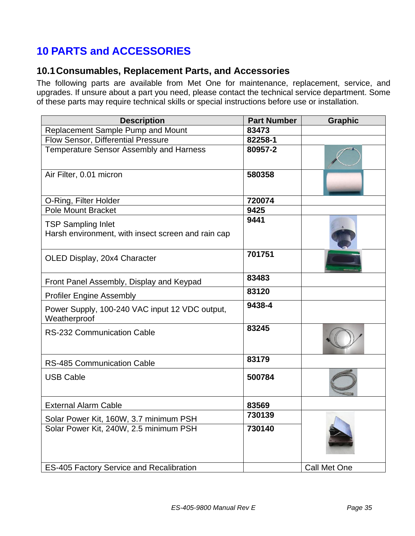# <span id="page-34-0"></span>**10 PARTS and ACCESSORIES**

## <span id="page-34-1"></span>**10.1Consumables, Replacement Parts, and Accessories**

The following parts are available from Met One for maintenance, replacement, service, and upgrades. If unsure about a part you need, please contact the technical service department. Some of these parts may require technical skills or special instructions before use or installation.

| <b>Description</b>                                                              | <b>Part Number</b> | <b>Graphic</b> |
|---------------------------------------------------------------------------------|--------------------|----------------|
| Replacement Sample Pump and Mount                                               | 83473              |                |
| Flow Sensor, Differential Pressure                                              | 82258-1            |                |
| <b>Temperature Sensor Assembly and Harness</b>                                  | 80957-2            |                |
| Air Filter, 0.01 micron                                                         | 580358             |                |
| O-Ring, Filter Holder                                                           | 720074             |                |
| <b>Pole Mount Bracket</b>                                                       | 9425               |                |
| <b>TSP Sampling Inlet</b><br>Harsh environment, with insect screen and rain cap | 9441               |                |
| OLED Display, 20x4 Character                                                    | 701751             |                |
| Front Panel Assembly, Display and Keypad                                        | 83483              |                |
| <b>Profiler Engine Assembly</b>                                                 | 83120              |                |
| Power Supply, 100-240 VAC input 12 VDC output,<br>Weatherproof                  | 9438-4             |                |
| <b>RS-232 Communication Cable</b>                                               | 83245              |                |
| <b>RS-485 Communication Cable</b>                                               | 83179              |                |
| <b>USB Cable</b>                                                                | 500784             |                |
| <b>External Alarm Cable</b>                                                     | 83569              |                |
| Solar Power Kit, 160W, 3.7 minimum PSH                                          | 730139             |                |
| Solar Power Kit, 240W, 2.5 minimum PSH                                          | 730140             |                |
| <b>ES-405 Factory Service and Recalibration</b>                                 |                    | Call Met One   |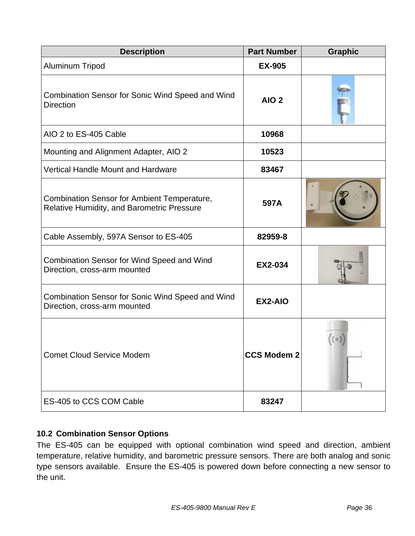| <b>Description</b>                                                                               | <b>Part Number</b> | <b>Graphic</b> |
|--------------------------------------------------------------------------------------------------|--------------------|----------------|
| Aluminum Tripod                                                                                  | <b>EX-905</b>      |                |
| <b>Combination Sensor for Sonic Wind Speed and Wind</b><br><b>Direction</b>                      | AIO <sub>2</sub>   |                |
| AIO 2 to ES-405 Cable                                                                            | 10968              |                |
| Mounting and Alignment Adapter, AIO 2                                                            | 10523              |                |
| <b>Vertical Handle Mount and Hardware</b>                                                        | 83467              |                |
| <b>Combination Sensor for Ambient Temperature,</b><br>Relative Humidity, and Barometric Pressure | 597A               |                |
| Cable Assembly, 597A Sensor to ES-405                                                            | 82959-8            |                |
| <b>Combination Sensor for Wind Speed and Wind</b><br>Direction, cross-arm mounted                | <b>EX2-034</b>     |                |
| Combination Sensor for Sonic Wind Speed and Wind<br>Direction, cross-arm mounted                 | EX2-AIO            |                |
| <b>Comet Cloud Service Modem</b>                                                                 | <b>CCS Modem 2</b> |                |
| ES-405 to CCS COM Cable                                                                          | 83247              |                |

## <span id="page-35-0"></span>**10.2 Combination Sensor Options**

The ES-405 can be equipped with optional combination wind speed and direction, ambient temperature, relative humidity, and barometric pressure sensors. There are both analog and sonic type sensors available. Ensure the ES-405 is powered down before connecting a new sensor to the unit.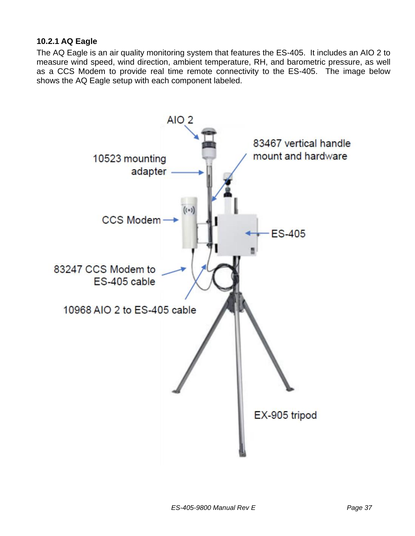### <span id="page-36-0"></span>**10.2.1 AQ Eagle**

The AQ Eagle is an air quality monitoring system that features the ES-405. It includes an AIO 2 to measure wind speed, wind direction, ambient temperature, RH, and barometric pressure, as well as a CCS Modem to provide real time remote connectivity to the ES-405. The image below shows the AQ Eagle setup with each component labeled.